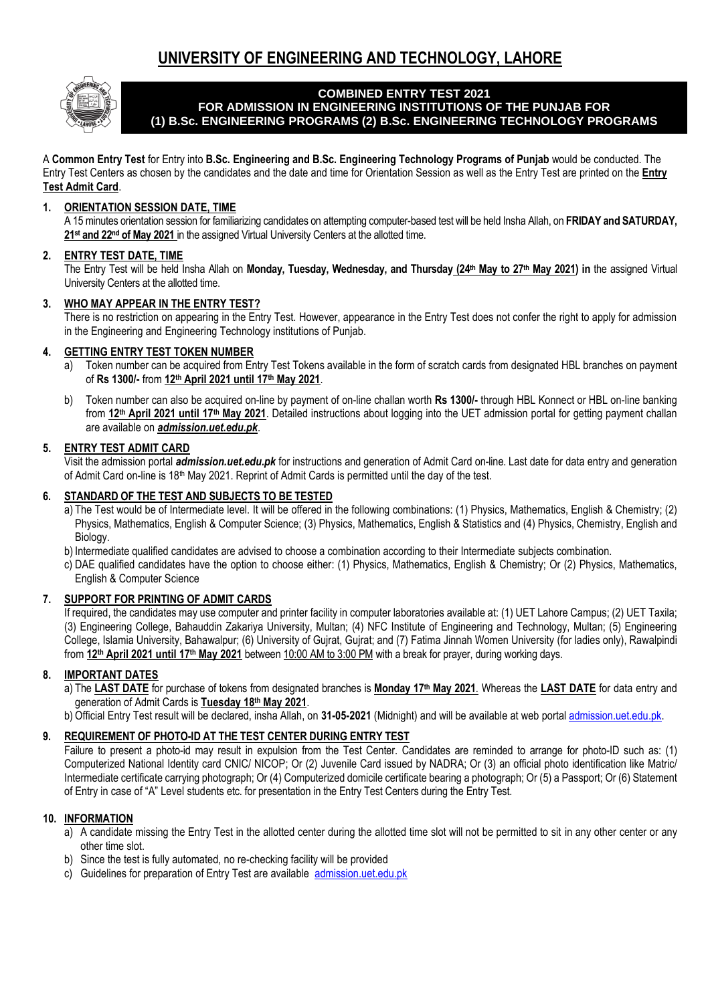# **UNIVERSITY OF ENGINEERING AND TECHNOLOGY, LAHORE**



#### **COMBINED ENTRY TEST 2021 FOR ADMISSION IN ENGINEERING INSTITUTIONS OF THE PUNJAB FOR (1) B.Sc. ENGINEERING PROGRAMS (2) B.Sc. ENGINEERING TECHNOLOGY PROGRAMS**

A **Common Entry Test** for Entry into **B.Sc. Engineering and B.Sc. Engineering Technology Programs of Punjab** would be conducted. The Entry Test Centers as chosen by the candidates and the date and time for Orientation Session as well as the Entry Test are printed on the **Entry Test Admit Card**.

### **1. ORIENTATION SESSION DATE, TIME**

A 15 minutes orientation session for familiarizing candidates on attempting computer-based test will be held Insha Allah, on **FRIDAY and SATURDAY, 21st and 22nd of May 2021** in the assigned Virtual University Centers at the allotted time.

#### **2. ENTRY TEST DATE, TIME**

The Entry Test will be held Insha Allah on **Monday, Tuesday, Wednesday, and Thursday (24th May to 27th May 2021) in** the assigned Virtual University Centers at the allotted time.

#### **3. WHO MAY APPEAR IN THE ENTRY TEST?**

There is no restriction on appearing in the Entry Test. However, appearance in the Entry Test does not confer the right to apply for admission in the Engineering and Engineering Technology institutions of Punjab.

#### **4. GETTING ENTRY TEST TOKEN NUMBER**

- a) Token number can be acquired from Entry Test Tokens available in the form of scratch cards from designated HBL branches on payment of **Rs 1300/-** from **12th April 2021 until 17th May 2021**.
- b) Token number can also be acquired on-line by payment of on-line challan worth **Rs 1300/-** through HBL Konnect or HBL on-line banking from **12th April 2021 until 17th May 2021**. Detailed instructions about logging into the UET admission portal for getting payment challan are available on *admission.uet.edu.pk*.

#### **5. ENTRY TEST ADMIT CARD**

Visit the admission portal *admission.uet.edu.pk* for instructions and generation of Admit Card on-line. Last date for data entry and generation of Admit Card on-line is 18th May 2021. Reprint of Admit Cards is permitted until the day of the test.

#### **6. STANDARD OF THE TEST AND SUBJECTS TO BE TESTED**

- a) The Test would be of Intermediate level. It will be offered in the following combinations: (1) Physics, Mathematics, English & Chemistry; (2) Physics, Mathematics, English & Computer Science; (3) Physics, Mathematics, English & Statistics and (4) Physics, Chemistry, English and Biology.
- b) Intermediate qualified candidates are advised to choose a combination according to their Intermediate subjects combination.
- c) DAE qualified candidates have the option to choose either: (1) Physics, Mathematics, English & Chemistry; Or (2) Physics, Mathematics, English & Computer Science

#### **7. SUPPORT FOR PRINTING OF ADMIT CARDS**

If required, the candidates may use computer and printer facility in computer laboratories available at: (1) UET Lahore Campus; (2) UET Taxila; (3) Engineering College, Bahauddin Zakariya University, Multan; (4) NFC Institute of Engineering and Technology, Multan; (5) Engineering College, Islamia University, Bahawalpur; (6) University of Gujrat, Gujrat; and (7) Fatima Jinnah Women University (for ladies only), Rawalpindi from **12th April 2021 until 17th May 2021** between 10:00 AM to 3:00 PM with a break for prayer, during working days.

#### **8. IMPORTANT DATES**

- a) The **LAST DATE** for purchase of tokens from designated branches is **Monday 17th May 2021**. Whereas the **LAST DATE** for data entry and generation of Admit Cards is **Tuesday 18th May 2021**.
- b) Official Entry Test result will be declared, insha Allah, on **31-05-2021** (Midnight) and will be available at web portal [admission.uet.edu.pk.](http://admission.uet.edu.pk/)

## **9. REQUIREMENT OF PHOTO-ID AT THE TEST CENTER DURING ENTRY TEST**

Failure to present a photo-id may result in expulsion from the Test Center. Candidates are reminded to arrange for photo-ID such as: (1) Computerized National Identity card CNIC/ NICOP; Or (2) Juvenile Card issued by NADRA; Or (3) an official photo identification like Matric/ Intermediate certificate carrying photograph; Or (4) Computerized domicile certificate bearing a photograph; Or (5) a Passport; Or (6) Statement of Entry in case of "A" Level students etc. for presentation in the Entry Test Centers during the Entry Test.

#### **10. INFORMATION**

- a) A candidate missing the Entry Test in the allotted center during the allotted time slot will not be permitted to sit in any other center or any other time slot.
- b) Since the test is fully automated, no re-checking facility will be provided
- c) Guidelines for preparation of Entry Test are available [admission.uet.edu.pk](http://admission.uet.edu.pk/)